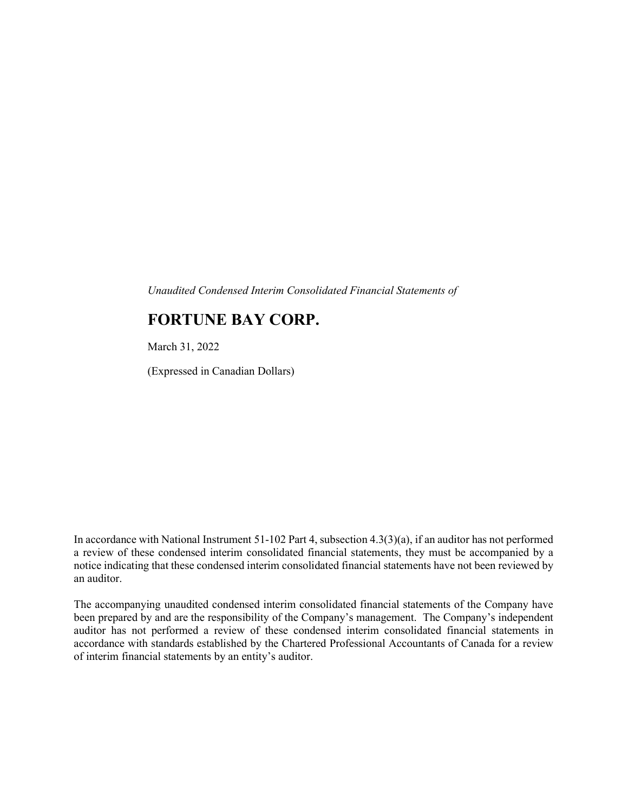Unaudited Condensed Interim Consolidated Financial Statements of

# FORTUNE BAY CORP.

March 31, 2022

(Expressed in Canadian Dollars)

In accordance with National Instrument 51-102 Part 4, subsection 4.3(3)(a), if an auditor has not performed a review of these condensed interim consolidated financial statements, they must be accompanied by a notice indicating that these condensed interim consolidated financial statements have not been reviewed by an auditor.

The accompanying unaudited condensed interim consolidated financial statements of the Company have been prepared by and are the responsibility of the Company's management. The Company's independent auditor has not performed a review of these condensed interim consolidated financial statements in accordance with standards established by the Chartered Professional Accountants of Canada for a review of interim financial statements by an entity's auditor.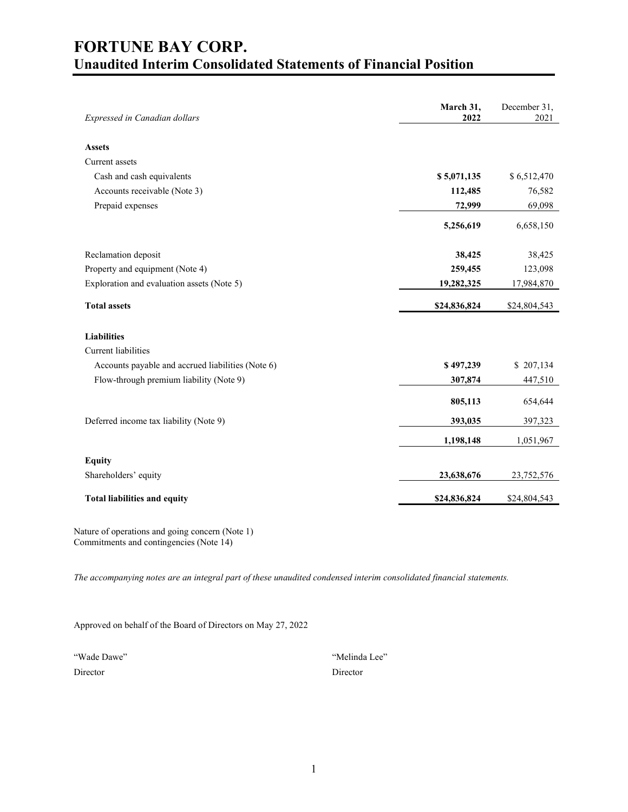# FORTUNE BAY CORP. Unaudited Interim Consolidated Statements of Financial Position

| Expressed in Canadian dollars                     | March 31,<br>2022 | December 31,<br>2021 |
|---------------------------------------------------|-------------------|----------------------|
|                                                   |                   |                      |
| <b>Assets</b>                                     |                   |                      |
| Current assets                                    |                   |                      |
| Cash and cash equivalents                         | \$5,071,135       | \$6,512,470          |
| Accounts receivable (Note 3)                      | 112,485           | 76,582               |
| Prepaid expenses                                  | 72,999            | 69,098               |
|                                                   | 5,256,619         | 6,658,150            |
| Reclamation deposit                               | 38,425            | 38,425               |
| Property and equipment (Note 4)                   | 259,455           | 123,098              |
| Exploration and evaluation assets (Note 5)        | 19,282,325        | 17,984,870           |
| <b>Total assets</b>                               | \$24,836,824      | \$24,804,543         |
| <b>Liabilities</b>                                |                   |                      |
| <b>Current</b> liabilities                        |                   |                      |
| Accounts payable and accrued liabilities (Note 6) | \$497,239         | \$207,134            |
| Flow-through premium liability (Note 9)           | 307,874           | 447,510              |
|                                                   | 805,113           | 654,644              |
| Deferred income tax liability (Note 9)            | 393,035           | 397,323              |
|                                                   | 1,198,148         | 1,051,967            |
| <b>Equity</b>                                     |                   |                      |
| Shareholders' equity                              | 23,638,676        | 23,752,576           |
| <b>Total liabilities and equity</b>               | \$24,836,824      | \$24,804,543         |

Nature of operations and going concern (Note 1) Commitments and contingencies (Note 14)

The accompanying notes are an integral part of these unaudited condensed interim consolidated financial statements.

Approved on behalf of the Board of Directors on May 27, 2022

| "Wade Dawe" | "Melinda Lee" |
|-------------|---------------|
| Director    | Director      |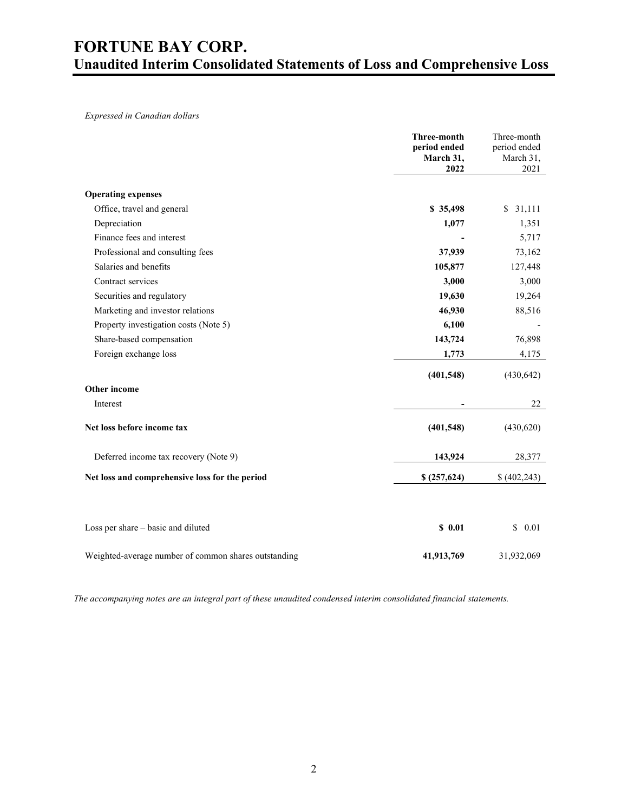# FORTUNE BAY CORP. Unaudited Interim Consolidated Statements of Loss and Comprehensive Loss

Expressed in Canadian dollars

|                                                      | Three-month<br>period ended<br>March 31,<br>2022 | Three-month<br>period ended<br>March 31,<br>2021 |
|------------------------------------------------------|--------------------------------------------------|--------------------------------------------------|
| <b>Operating expenses</b>                            |                                                  |                                                  |
| Office, travel and general                           | \$35,498                                         | \$31,111                                         |
| Depreciation                                         | 1,077                                            | 1,351                                            |
| Finance fees and interest                            |                                                  | 5,717                                            |
| Professional and consulting fees                     | 37,939                                           | 73,162                                           |
| Salaries and benefits                                | 105,877                                          | 127,448                                          |
| Contract services                                    | 3,000                                            | 3,000                                            |
| Securities and regulatory                            | 19,630                                           | 19,264                                           |
| Marketing and investor relations                     | 46,930                                           | 88,516                                           |
| Property investigation costs (Note 5)                | 6,100                                            |                                                  |
| Share-based compensation                             | 143,724                                          | 76,898                                           |
| Foreign exchange loss                                | 1,773                                            | 4,175                                            |
|                                                      | (401, 548)                                       | (430, 642)                                       |
| Other income                                         |                                                  |                                                  |
| Interest                                             |                                                  | 22                                               |
| Net loss before income tax                           | (401,548)                                        | (430,620)                                        |
| Deferred income tax recovery (Note 9)                | 143,924                                          | 28,377                                           |
| Net loss and comprehensive loss for the period       | \$(257,624)                                      | \$(402,243)                                      |
|                                                      |                                                  |                                                  |
| Loss per share - basic and diluted                   | \$0.01                                           | \$<br>0.01                                       |
| Weighted-average number of common shares outstanding | 41,913,769                                       | 31,932,069                                       |

The accompanying notes are an integral part of these unaudited condensed interim consolidated financial statements.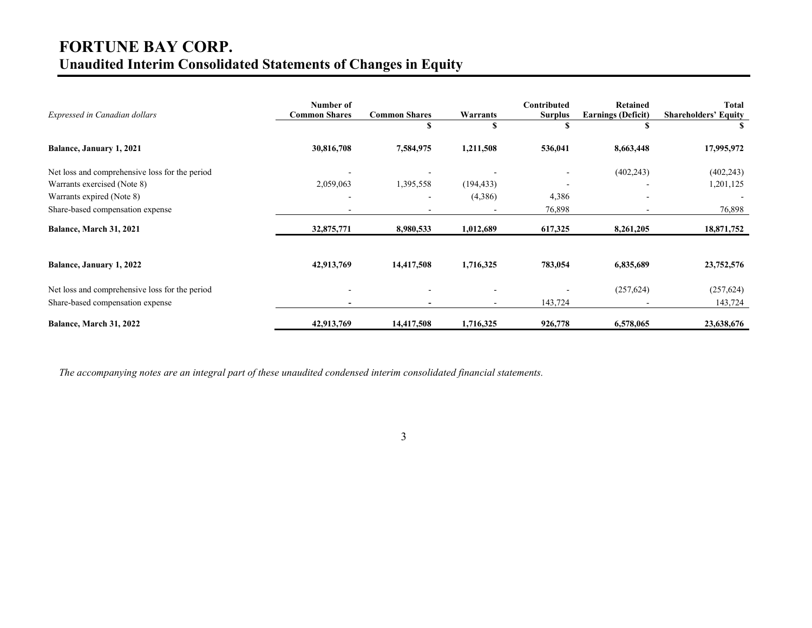# FORTUNE BAY CORP. Unaudited Interim Consolidated Statements of Changes in Equity

| Expressed in Canadian dollars                  | Number of<br><b>Common Shares</b> | <b>Common Shares</b><br>S | Warrants   | Contributed<br><b>Surplus</b> | Retained<br><b>Earnings (Deficit)</b> | <b>Total</b><br><b>Shareholders' Equity</b> |
|------------------------------------------------|-----------------------------------|---------------------------|------------|-------------------------------|---------------------------------------|---------------------------------------------|
| Balance, January 1, 2021                       | 30,816,708                        | 7,584,975                 | 1,211,508  | 536,041                       | 8,663,448                             | 17,995,972                                  |
| Net loss and comprehensive loss for the period |                                   |                           |            |                               | (402, 243)                            | (402, 243)                                  |
| Warrants exercised (Note 8)                    | 2,059,063                         | 1,395,558                 | (194, 433) | $\overline{\phantom{a}}$      |                                       | 1,201,125                                   |
| Warrants expired (Note 8)                      | $\overline{\phantom{a}}$          |                           | (4,386)    | 4,386                         |                                       |                                             |
| Share-based compensation expense               | $\overline{\phantom{0}}$          |                           |            | 76,898                        |                                       | 76,898                                      |
| Balance, March 31, 2021                        | 32,875,771                        | 8,980,533                 | 1,012,689  | 617,325                       | 8,261,205                             | 18,871,752                                  |
| <b>Balance, January 1, 2022</b>                | 42,913,769                        | 14,417,508                | 1,716,325  | 783,054                       | 6,835,689                             | 23,752,576                                  |
| Net loss and comprehensive loss for the period |                                   |                           |            |                               | (257, 624)                            | (257, 624)                                  |
| Share-based compensation expense               | $\blacksquare$                    |                           |            | 143,724                       |                                       | 143,724                                     |
| Balance, March 31, 2022                        | 42,913,769                        | 14,417,508                | 1,716,325  | 926,778                       | 6,578,065                             | 23,638,676                                  |

The accompanying notes are an integral part of these unaudited condensed interim consolidated financial statements.

3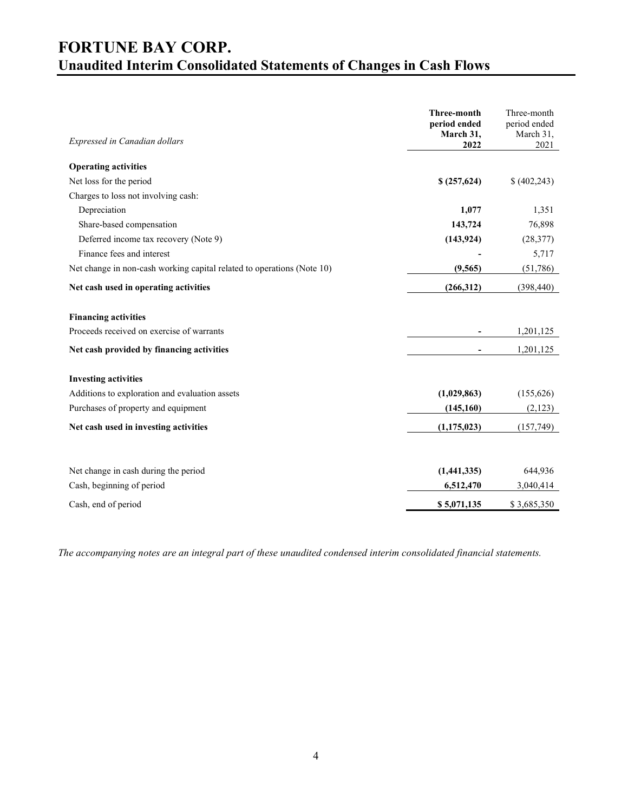# FORTUNE BAY CORP. Unaudited Interim Consolidated Statements of Changes in Cash Flows

| Expressed in Canadian dollars                                          | <b>Three-month</b><br>period ended<br>March 31,<br>2022 | Three-month<br>period ended<br>March 31,<br>2021 |
|------------------------------------------------------------------------|---------------------------------------------------------|--------------------------------------------------|
| <b>Operating activities</b>                                            |                                                         |                                                  |
| Net loss for the period                                                | \$(257,624)                                             | \$(402,243)                                      |
| Charges to loss not involving cash:                                    |                                                         |                                                  |
| Depreciation                                                           | 1,077                                                   | 1,351                                            |
| Share-based compensation                                               | 143,724                                                 | 76,898                                           |
| Deferred income tax recovery (Note 9)                                  | (143, 924)                                              | (28, 377)                                        |
| Finance fees and interest                                              |                                                         | 5,717                                            |
| Net change in non-cash working capital related to operations (Note 10) | (9, 565)                                                | (51,786)                                         |
| Net cash used in operating activities                                  | (266,312)                                               | (398, 440)                                       |
| <b>Financing activities</b>                                            |                                                         |                                                  |
| Proceeds received on exercise of warrants                              |                                                         | 1,201,125                                        |
| Net cash provided by financing activities                              |                                                         | 1,201,125                                        |
| <b>Investing activities</b>                                            |                                                         |                                                  |
| Additions to exploration and evaluation assets                         | (1,029,863)                                             | (155, 626)                                       |
| Purchases of property and equipment                                    | (145, 160)                                              | (2,123)                                          |
| Net cash used in investing activities                                  | (1, 175, 023)                                           | (157, 749)                                       |
|                                                                        |                                                         |                                                  |
| Net change in cash during the period                                   | (1,441,335)                                             | 644,936                                          |
| Cash, beginning of period                                              | 6,512,470                                               | 3,040,414                                        |
| Cash, end of period                                                    | \$5,071,135                                             | \$3,685,350                                      |

The accompanying notes are an integral part of these unaudited condensed interim consolidated financial statements.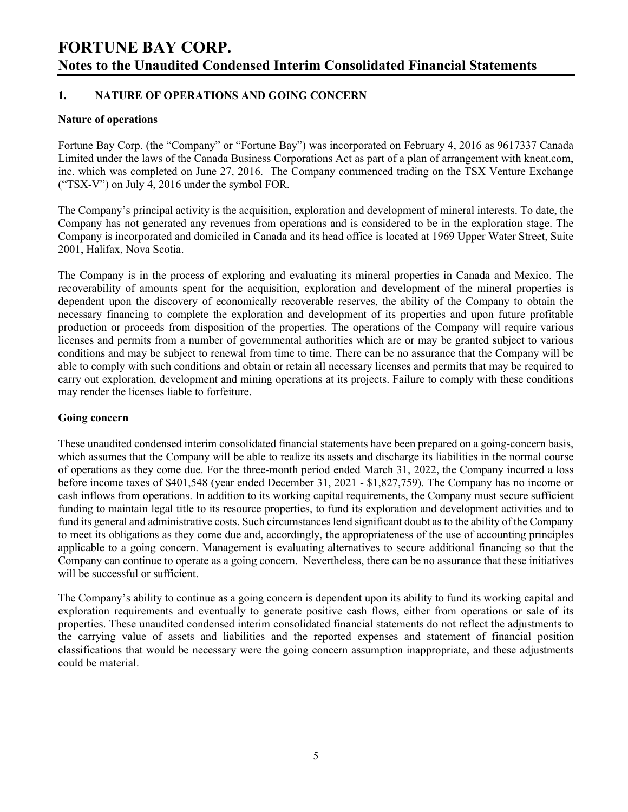# 1. NATURE OF OPERATIONS AND GOING CONCERN

#### Nature of operations

Fortune Bay Corp. (the "Company" or "Fortune Bay") was incorporated on February 4, 2016 as 9617337 Canada Limited under the laws of the Canada Business Corporations Act as part of a plan of arrangement with kneat.com, inc. which was completed on June 27, 2016. The Company commenced trading on the TSX Venture Exchange ("TSX-V") on July 4, 2016 under the symbol FOR.

The Company's principal activity is the acquisition, exploration and development of mineral interests. To date, the Company has not generated any revenues from operations and is considered to be in the exploration stage. The Company is incorporated and domiciled in Canada and its head office is located at 1969 Upper Water Street, Suite 2001, Halifax, Nova Scotia.

The Company is in the process of exploring and evaluating its mineral properties in Canada and Mexico. The recoverability of amounts spent for the acquisition, exploration and development of the mineral properties is dependent upon the discovery of economically recoverable reserves, the ability of the Company to obtain the necessary financing to complete the exploration and development of its properties and upon future profitable production or proceeds from disposition of the properties. The operations of the Company will require various licenses and permits from a number of governmental authorities which are or may be granted subject to various conditions and may be subject to renewal from time to time. There can be no assurance that the Company will be able to comply with such conditions and obtain or retain all necessary licenses and permits that may be required to carry out exploration, development and mining operations at its projects. Failure to comply with these conditions may render the licenses liable to forfeiture.

## Going concern

These unaudited condensed interim consolidated financial statements have been prepared on a going-concern basis, which assumes that the Company will be able to realize its assets and discharge its liabilities in the normal course of operations as they come due. For the three-month period ended March 31, 2022, the Company incurred a loss before income taxes of \$401,548 (year ended December 31, 2021 - \$1,827,759). The Company has no income or cash inflows from operations. In addition to its working capital requirements, the Company must secure sufficient funding to maintain legal title to its resource properties, to fund its exploration and development activities and to fund its general and administrative costs. Such circumstances lend significant doubt as to the ability of the Company to meet its obligations as they come due and, accordingly, the appropriateness of the use of accounting principles applicable to a going concern. Management is evaluating alternatives to secure additional financing so that the Company can continue to operate as a going concern. Nevertheless, there can be no assurance that these initiatives will be successful or sufficient.

The Company's ability to continue as a going concern is dependent upon its ability to fund its working capital and exploration requirements and eventually to generate positive cash flows, either from operations or sale of its properties. These unaudited condensed interim consolidated financial statements do not reflect the adjustments to the carrying value of assets and liabilities and the reported expenses and statement of financial position classifications that would be necessary were the going concern assumption inappropriate, and these adjustments could be material.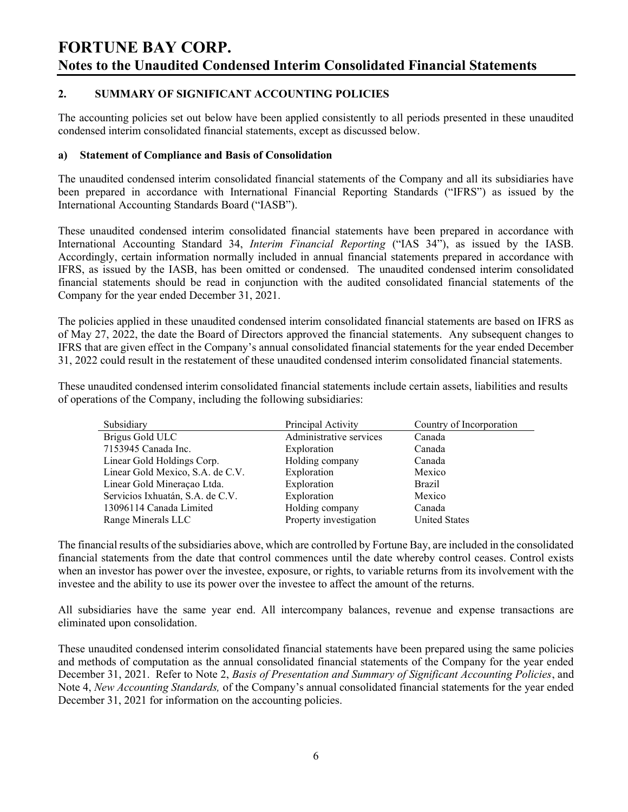## 2. SUMMARY OF SIGNIFICANT ACCOUNTING POLICIES

The accounting policies set out below have been applied consistently to all periods presented in these unaudited condensed interim consolidated financial statements, except as discussed below.

### a) Statement of Compliance and Basis of Consolidation

The unaudited condensed interim consolidated financial statements of the Company and all its subsidiaries have been prepared in accordance with International Financial Reporting Standards ("IFRS") as issued by the International Accounting Standards Board ("IASB").

These unaudited condensed interim consolidated financial statements have been prepared in accordance with International Accounting Standard 34, Interim Financial Reporting ("IAS 34"), as issued by the IASB. Accordingly, certain information normally included in annual financial statements prepared in accordance with IFRS, as issued by the IASB, has been omitted or condensed. The unaudited condensed interim consolidated financial statements should be read in conjunction with the audited consolidated financial statements of the Company for the year ended December 31, 2021.

The policies applied in these unaudited condensed interim consolidated financial statements are based on IFRS as of May 27, 2022, the date the Board of Directors approved the financial statements. Any subsequent changes to IFRS that are given effect in the Company's annual consolidated financial statements for the year ended December 31, 2022 could result in the restatement of these unaudited condensed interim consolidated financial statements.

These unaudited condensed interim consolidated financial statements include certain assets, liabilities and results of operations of the Company, including the following subsidiaries:

| Subsidiary                       | Principal Activity      | Country of Incorporation |
|----------------------------------|-------------------------|--------------------------|
| Brigus Gold ULC                  | Administrative services | Canada                   |
| 7153945 Canada Inc.              | Exploration             | Canada                   |
| Linear Gold Holdings Corp.       | Holding company         | Canada                   |
| Linear Gold Mexico, S.A. de C.V. | Exploration             | Mexico                   |
| Linear Gold Mineraçao Ltda.      | Exploration             | <b>Brazil</b>            |
| Servicios Ixhuatán, S.A. de C.V. | Exploration             | Mexico                   |
| 13096114 Canada Limited          | Holding company         | Canada                   |
| Range Minerals LLC               | Property investigation  | <b>United States</b>     |

The financial results of the subsidiaries above, which are controlled by Fortune Bay, are included in the consolidated financial statements from the date that control commences until the date whereby control ceases. Control exists when an investor has power over the investee, exposure, or rights, to variable returns from its involvement with the investee and the ability to use its power over the investee to affect the amount of the returns.

All subsidiaries have the same year end. All intercompany balances, revenue and expense transactions are eliminated upon consolidation.

These unaudited condensed interim consolidated financial statements have been prepared using the same policies and methods of computation as the annual consolidated financial statements of the Company for the year ended December 31, 2021. Refer to Note 2, Basis of Presentation and Summary of Significant Accounting Policies, and Note 4, New Accounting Standards, of the Company's annual consolidated financial statements for the year ended December 31, 2021 for information on the accounting policies.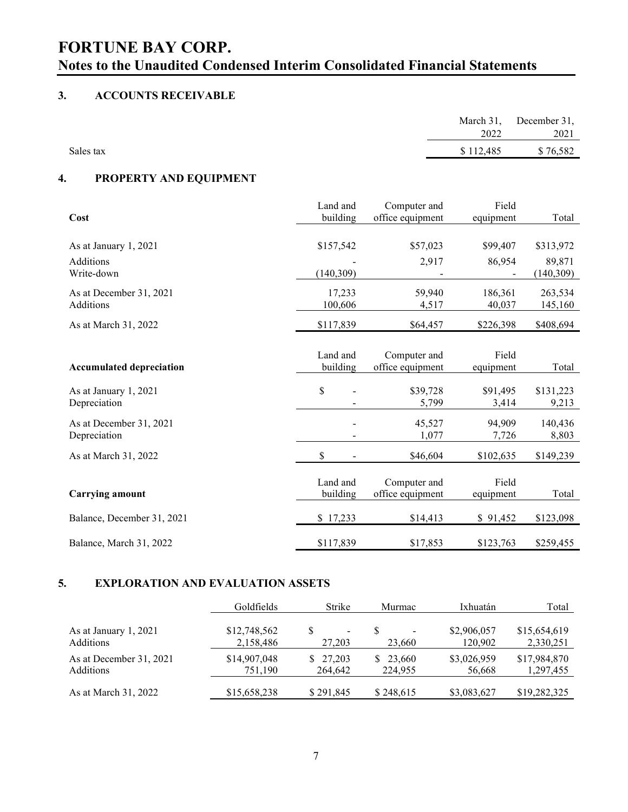# 3. ACCOUNTS RECEIVABLE

|           |           | March 31, December 31, |
|-----------|-----------|------------------------|
|           | 2022      | 2021                   |
| Sales tax | \$112,485 | \$76,582               |

# 4. PROPERTY AND EQUIPMENT

|                                 | Land and   | Computer and     | Field     |           |
|---------------------------------|------------|------------------|-----------|-----------|
| Cost                            | building   | office equipment | equipment | Total     |
|                                 |            |                  |           |           |
| As at January 1, 2021           | \$157,542  | \$57,023         | \$99,407  | \$313,972 |
| Additions                       |            | 2,917            | 86,954    | 89.871    |
| Write-down                      | (140, 309) |                  |           | (140,309) |
| As at December 31, 2021         | 17,233     | 59,940           | 186,361   | 263,534   |
| Additions                       | 100,606    | 4,517            | 40,037    | 145,160   |
| As at March 31, 2022            | \$117,839  | \$64,457         | \$226,398 | \$408,694 |
|                                 |            |                  |           |           |
|                                 | Land and   | Computer and     | Field     |           |
| <b>Accumulated depreciation</b> | building   | office equipment | equipment | Total     |
|                                 |            |                  |           |           |
| As at January 1, 2021           | \$         | \$39,728         | \$91,495  | \$131,223 |
| Depreciation                    |            | 5,799            | 3,414     | 9,213     |
| As at December 31, 2021         |            | 45,527           | 94,909    | 140,436   |
| Depreciation                    |            | 1,077            | 7,726     | 8,803     |
| As at March 31, 2022            | \$         | \$46,604         | \$102,635 | \$149,239 |
|                                 |            |                  |           |           |
|                                 | Land and   | Computer and     | Field     |           |
| <b>Carrying amount</b>          | building   | office equipment | equipment | Total     |
| Balance, December 31, 2021      | \$17,233   | \$14,413         | \$91,452  | \$123,098 |
|                                 |            |                  |           |           |
| Balance, March 31, 2022         | \$117,839  | \$17,853         | \$123,763 | \$259,455 |

# 5. EXPLORATION AND EVALUATION ASSETS

|                         | Goldfields   | Strike                   | Murmac    | Ixhuatán    | Total        |
|-------------------------|--------------|--------------------------|-----------|-------------|--------------|
| As at January 1, 2021   | \$12,748,562 | $\overline{\phantom{a}}$ | 23,660    | \$2,906,057 | \$15,654,619 |
| <b>Additions</b>        | 2,158,486    | 27,203                   |           | 120,902     | 2,330,251    |
| As at December 31, 2021 | \$14,907,048 | \$27,203                 | \$23,660  | \$3,026,959 | \$17,984,870 |
| <b>Additions</b>        | 751.190      | 264,642                  | 224,955   | 56,668      | 1,297,455    |
| As at March 31, 2022    | \$15,658,238 | \$291,845                | \$248,615 | \$3,083,627 | \$19,282,325 |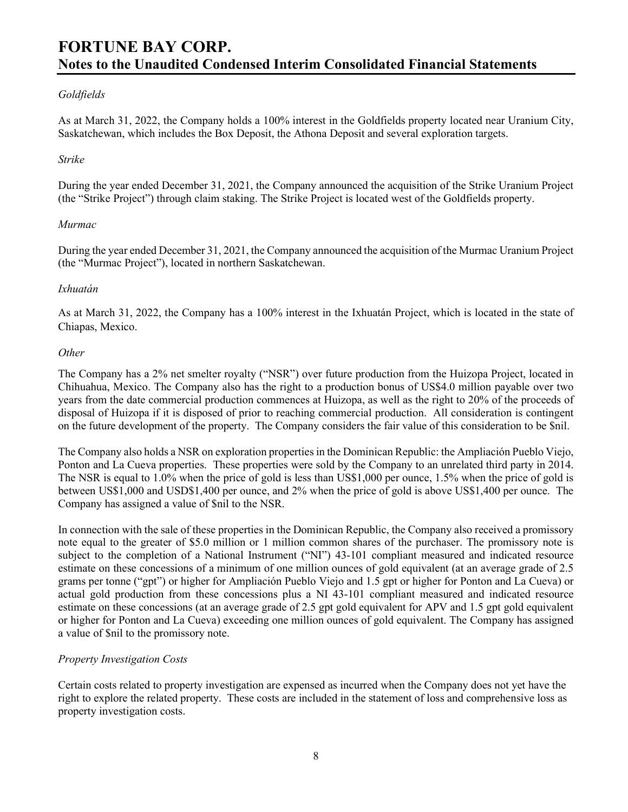## Goldfields

As at March 31, 2022, the Company holds a 100% interest in the Goldfields property located near Uranium City, Saskatchewan, which includes the Box Deposit, the Athona Deposit and several exploration targets.

#### Strike

During the year ended December 31, 2021, the Company announced the acquisition of the Strike Uranium Project (the "Strike Project") through claim staking. The Strike Project is located west of the Goldfields property.

#### Murmac

During the year ended December 31, 2021, the Company announced the acquisition of the Murmac Uranium Project (the "Murmac Project"), located in northern Saskatchewan.

### Ixhuatán

As at March 31, 2022, the Company has a 100% interest in the Ixhuatán Project, which is located in the state of Chiapas, Mexico.

### **Other**

The Company has a 2% net smelter royalty ("NSR") over future production from the Huizopa Project, located in Chihuahua, Mexico. The Company also has the right to a production bonus of US\$4.0 million payable over two years from the date commercial production commences at Huizopa, as well as the right to 20% of the proceeds of disposal of Huizopa if it is disposed of prior to reaching commercial production. All consideration is contingent on the future development of the property. The Company considers the fair value of this consideration to be \$nil.

The Company also holds a NSR on exploration properties in the Dominican Republic: the Ampliación Pueblo Viejo, Ponton and La Cueva properties. These properties were sold by the Company to an unrelated third party in 2014. The NSR is equal to 1.0% when the price of gold is less than US\$1,000 per ounce, 1.5% when the price of gold is between US\$1,000 and USD\$1,400 per ounce, and 2% when the price of gold is above US\$1,400 per ounce. The Company has assigned a value of \$nil to the NSR.

In connection with the sale of these properties in the Dominican Republic, the Company also received a promissory note equal to the greater of \$5.0 million or 1 million common shares of the purchaser. The promissory note is subject to the completion of a National Instrument ("NI") 43-101 compliant measured and indicated resource estimate on these concessions of a minimum of one million ounces of gold equivalent (at an average grade of 2.5 grams per tonne ("gpt") or higher for Ampliación Pueblo Viejo and 1.5 gpt or higher for Ponton and La Cueva) or actual gold production from these concessions plus a NI 43-101 compliant measured and indicated resource estimate on these concessions (at an average grade of 2.5 gpt gold equivalent for APV and 1.5 gpt gold equivalent or higher for Ponton and La Cueva) exceeding one million ounces of gold equivalent. The Company has assigned a value of \$nil to the promissory note.

## Property Investigation Costs

Certain costs related to property investigation are expensed as incurred when the Company does not yet have the right to explore the related property. These costs are included in the statement of loss and comprehensive loss as property investigation costs.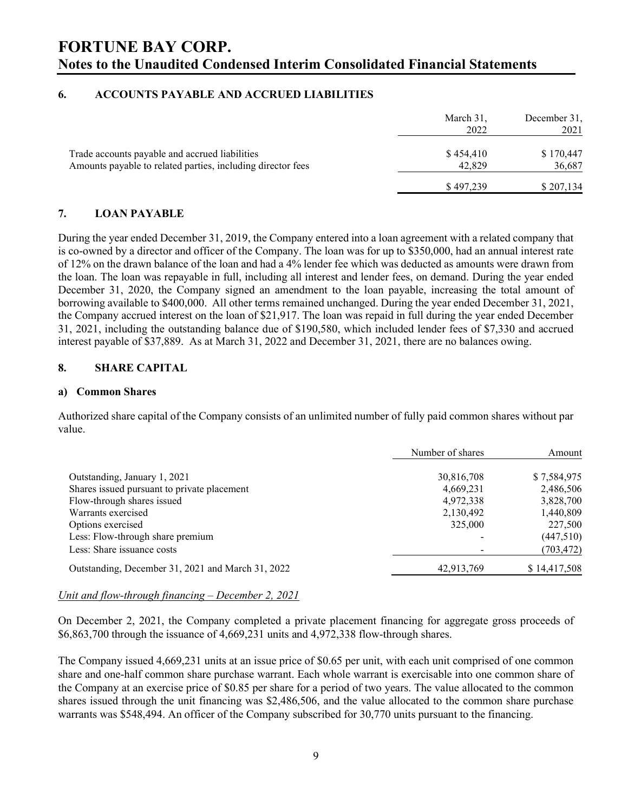### 6. ACCOUNTS PAYABLE AND ACCRUED LIABILITIES

|                                                                                                               | March 31,<br>2022   | December 31,<br>2021 |
|---------------------------------------------------------------------------------------------------------------|---------------------|----------------------|
| Trade accounts payable and accrued liabilities<br>Amounts payable to related parties, including director fees | \$454,410<br>42,829 | \$170,447<br>36,687  |
|                                                                                                               | \$497,239           | \$207,134            |

### 7. LOAN PAYABLE

During the year ended December 31, 2019, the Company entered into a loan agreement with a related company that is co-owned by a director and officer of the Company. The loan was for up to \$350,000, had an annual interest rate of 12% on the drawn balance of the loan and had a 4% lender fee which was deducted as amounts were drawn from the loan. The loan was repayable in full, including all interest and lender fees, on demand. During the year ended December 31, 2020, the Company signed an amendment to the loan payable, increasing the total amount of borrowing available to \$400,000. All other terms remained unchanged. During the year ended December 31, 2021, the Company accrued interest on the loan of \$21,917. The loan was repaid in full during the year ended December 31, 2021, including the outstanding balance due of \$190,580, which included lender fees of \$7,330 and accrued interest payable of \$37,889. As at March 31, 2022 and December 31, 2021, there are no balances owing.

### 8. SHARE CAPITAL

#### a) Common Shares

Authorized share capital of the Company consists of an unlimited number of fully paid common shares without par value.

|                                                   | Number of shares | Amount       |
|---------------------------------------------------|------------------|--------------|
| Outstanding, January 1, 2021                      | 30,816,708       | \$7,584,975  |
| Shares issued pursuant to private placement       | 4,669,231        | 2,486,506    |
| Flow-through shares issued                        | 4,972,338        | 3,828,700    |
| Warrants exercised                                | 2,130,492        | 1,440,809    |
| Options exercised                                 | 325,000          | 227,500      |
| Less: Flow-through share premium                  |                  | (447,510)    |
| Less: Share issuance costs                        |                  | (703, 472)   |
| Outstanding, December 31, 2021 and March 31, 2022 | 42,913,769       | \$14,417,508 |

#### Unit and flow-through financing – December 2, 2021

On December 2, 2021, the Company completed a private placement financing for aggregate gross proceeds of \$6,863,700 through the issuance of 4,669,231 units and 4,972,338 flow-through shares.

The Company issued 4,669,231 units at an issue price of \$0.65 per unit, with each unit comprised of one common share and one-half common share purchase warrant. Each whole warrant is exercisable into one common share of the Company at an exercise price of \$0.85 per share for a period of two years. The value allocated to the common shares issued through the unit financing was \$2,486,506, and the value allocated to the common share purchase warrants was \$548,494. An officer of the Company subscribed for 30,770 units pursuant to the financing.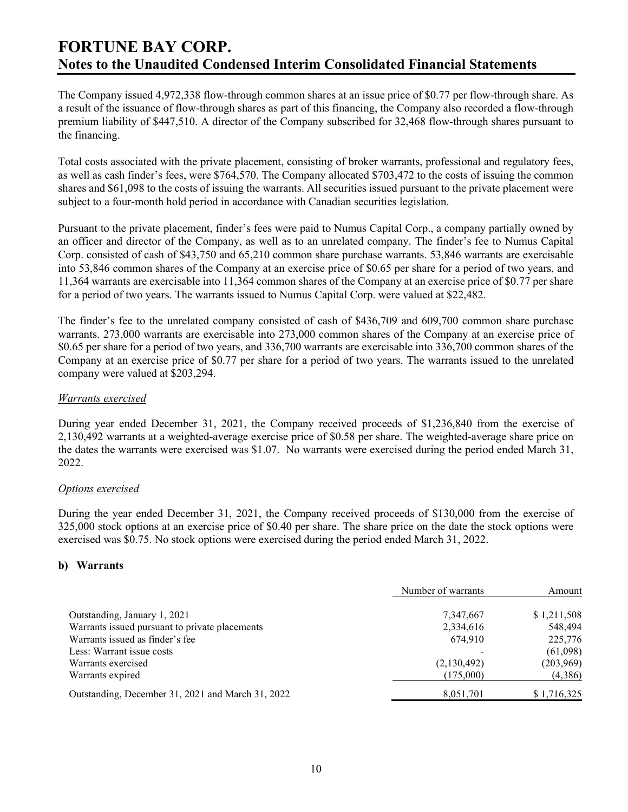The Company issued 4,972,338 flow-through common shares at an issue price of \$0.77 per flow-through share. As a result of the issuance of flow-through shares as part of this financing, the Company also recorded a flow-through premium liability of \$447,510. A director of the Company subscribed for 32,468 flow-through shares pursuant to the financing.

Total costs associated with the private placement, consisting of broker warrants, professional and regulatory fees, as well as cash finder's fees, were \$764,570. The Company allocated \$703,472 to the costs of issuing the common shares and \$61,098 to the costs of issuing the warrants. All securities issued pursuant to the private placement were subject to a four-month hold period in accordance with Canadian securities legislation.

Pursuant to the private placement, finder's fees were paid to Numus Capital Corp., a company partially owned by an officer and director of the Company, as well as to an unrelated company. The finder's fee to Numus Capital Corp. consisted of cash of \$43,750 and 65,210 common share purchase warrants. 53,846 warrants are exercisable into 53,846 common shares of the Company at an exercise price of \$0.65 per share for a period of two years, and 11,364 warrants are exercisable into 11,364 common shares of the Company at an exercise price of \$0.77 per share for a period of two years. The warrants issued to Numus Capital Corp. were valued at \$22,482.

The finder's fee to the unrelated company consisted of cash of \$436,709 and 609,700 common share purchase warrants. 273,000 warrants are exercisable into 273,000 common shares of the Company at an exercise price of \$0.65 per share for a period of two years, and 336,700 warrants are exercisable into 336,700 common shares of the Company at an exercise price of \$0.77 per share for a period of two years. The warrants issued to the unrelated company were valued at \$203,294.

#### Warrants exercised

During year ended December 31, 2021, the Company received proceeds of \$1,236,840 from the exercise of 2,130,492 warrants at a weighted-average exercise price of \$0.58 per share. The weighted-average share price on the dates the warrants were exercised was \$1.07. No warrants were exercised during the period ended March 31, 2022.

## Options exercised

During the year ended December 31, 2021, the Company received proceeds of \$130,000 from the exercise of 325,000 stock options at an exercise price of \$0.40 per share. The share price on the date the stock options were exercised was \$0.75. No stock options were exercised during the period ended March 31, 2022.

#### b) Warrants

|                                                   | Number of warrants | Amount      |  |
|---------------------------------------------------|--------------------|-------------|--|
| Outstanding, January 1, 2021                      | 7,347,667          | \$1,211,508 |  |
| Warrants issued pursuant to private placements    | 2,334,616          | 548,494     |  |
| Warrants issued as finder's fee                   | 674.910            | 225,776     |  |
| Less: Warrant issue costs                         |                    | (61,098)    |  |
| Warrants exercised                                | (2,130,492)        | (203,969)   |  |
| Warrants expired                                  | (175,000)          | (4,386)     |  |
| Outstanding, December 31, 2021 and March 31, 2022 | 8,051,701          | \$1,716,325 |  |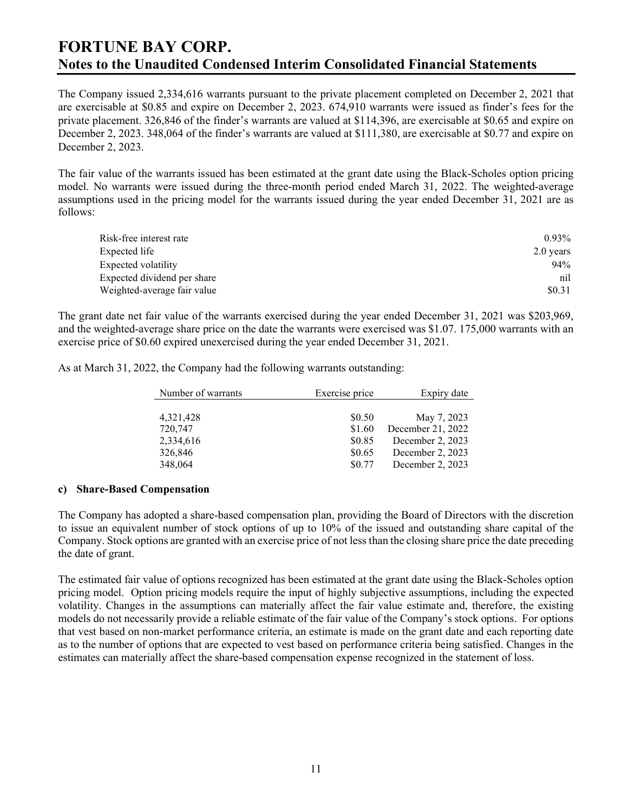The Company issued 2,334,616 warrants pursuant to the private placement completed on December 2, 2021 that are exercisable at \$0.85 and expire on December 2, 2023. 674,910 warrants were issued as finder's fees for the private placement. 326,846 of the finder's warrants are valued at \$114,396, are exercisable at \$0.65 and expire on December 2, 2023. 348,064 of the finder's warrants are valued at \$111,380, are exercisable at \$0.77 and expire on December 2, 2023.

The fair value of the warrants issued has been estimated at the grant date using the Black-Scholes option pricing model. No warrants were issued during the three-month period ended March 31, 2022. The weighted-average assumptions used in the pricing model for the warrants issued during the year ended December 31, 2021 are as follows:

| Risk-free interest rate     | $0.93\%$    |
|-----------------------------|-------------|
| Expected life               | $2.0$ years |
| Expected volatility         | 94%         |
| Expected dividend per share | nil         |
| Weighted-average fair value | \$0.31      |

The grant date net fair value of the warrants exercised during the year ended December 31, 2021 was \$203,969, and the weighted-average share price on the date the warrants were exercised was \$1.07. 175,000 warrants with an exercise price of \$0.60 expired unexercised during the year ended December 31, 2021.

As at March 31, 2022, the Company had the following warrants outstanding:

| Number of warrants | Exercise price | Expiry date       |
|--------------------|----------------|-------------------|
|                    |                |                   |
| 4,321,428          | \$0.50         | May 7, 2023       |
| 720,747            | \$1.60         | December 21, 2022 |
| 2,334,616          | \$0.85         | December 2, 2023  |
| 326,846            | \$0.65         | December 2, 2023  |
| 348,064            | \$0.77         | December 2, 2023  |

#### c) Share-Based Compensation

The Company has adopted a share-based compensation plan, providing the Board of Directors with the discretion to issue an equivalent number of stock options of up to 10% of the issued and outstanding share capital of the Company. Stock options are granted with an exercise price of not less than the closing share price the date preceding the date of grant.

The estimated fair value of options recognized has been estimated at the grant date using the Black-Scholes option pricing model. Option pricing models require the input of highly subjective assumptions, including the expected volatility. Changes in the assumptions can materially affect the fair value estimate and, therefore, the existing models do not necessarily provide a reliable estimate of the fair value of the Company's stock options. For options that vest based on non-market performance criteria, an estimate is made on the grant date and each reporting date as to the number of options that are expected to vest based on performance criteria being satisfied. Changes in the estimates can materially affect the share-based compensation expense recognized in the statement of loss.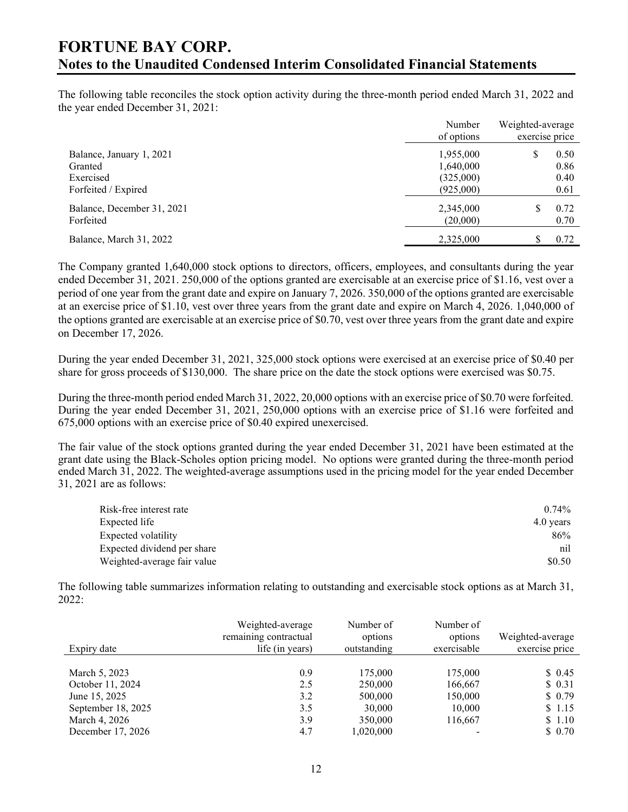The following table reconciles the stock option activity during the three-month period ended March 31, 2022 and the year ended December 31, 2021:

|                                                                         | Number<br>of options                             | Weighted-average<br>exercise price |
|-------------------------------------------------------------------------|--------------------------------------------------|------------------------------------|
| Balance, January 1, 2021<br>Granted<br>Exercised<br>Forfeited / Expired | 1,955,000<br>1,640,000<br>(325,000)<br>(925,000) | \$<br>0.50<br>0.86<br>0.40<br>0.61 |
| Balance, December 31, 2021<br>Forfeited                                 | 2,345,000<br>(20,000)                            | 0.72<br>S<br>0.70                  |
| Balance, March 31, 2022                                                 | 2,325,000                                        | 0.72<br>۰D                         |

The Company granted 1,640,000 stock options to directors, officers, employees, and consultants during the year ended December 31, 2021. 250,000 of the options granted are exercisable at an exercise price of \$1.16, vest over a period of one year from the grant date and expire on January 7, 2026. 350,000 of the options granted are exercisable at an exercise price of \$1.10, vest over three years from the grant date and expire on March 4, 2026. 1,040,000 of the options granted are exercisable at an exercise price of \$0.70, vest over three years from the grant date and expire on December 17, 2026.

During the year ended December 31, 2021, 325,000 stock options were exercised at an exercise price of \$0.40 per share for gross proceeds of \$130,000. The share price on the date the stock options were exercised was \$0.75.

During the three-month period ended March 31, 2022, 20,000 options with an exercise price of \$0.70 were forfeited. During the year ended December 31, 2021, 250,000 options with an exercise price of \$1.16 were forfeited and 675,000 options with an exercise price of \$0.40 expired unexercised.

The fair value of the stock options granted during the year ended December 31, 2021 have been estimated at the grant date using the Black-Scholes option pricing model. No options were granted during the three-month period ended March 31, 2022. The weighted-average assumptions used in the pricing model for the year ended December 31, 2021 are as follows:

| Risk-free interest rate     | $0.74\%$  |
|-----------------------------|-----------|
| Expected life               | 4.0 years |
| Expected volatility         | 86%       |
| Expected dividend per share | nil       |
| Weighted-average fair value | \$0.50    |

The following table summarizes information relating to outstanding and exercisable stock options as at March 31, 2022:

| Expiry date        | Weighted-average<br>remaining contractual<br>life (in years) | Number of<br>options<br>outstanding | Number of<br>options<br>exercisable | Weighted-average<br>exercise price |
|--------------------|--------------------------------------------------------------|-------------------------------------|-------------------------------------|------------------------------------|
|                    |                                                              |                                     |                                     |                                    |
| March 5, 2023      | 0.9                                                          | 175,000                             | 175,000                             | \$0.45                             |
| October 11, 2024   | 2.5                                                          | 250,000                             | 166,667                             | \$0.31                             |
| June 15, 2025      | 3.2                                                          | 500,000                             | 150,000                             | \$0.79                             |
| September 18, 2025 | 3.5                                                          | 30,000                              | 10,000                              | \$1.15                             |
| March 4, 2026      | 3.9                                                          | 350,000                             | 116,667                             | \$1.10                             |
| December 17, 2026  | 4.7                                                          | 1,020,000                           |                                     | \$0.70                             |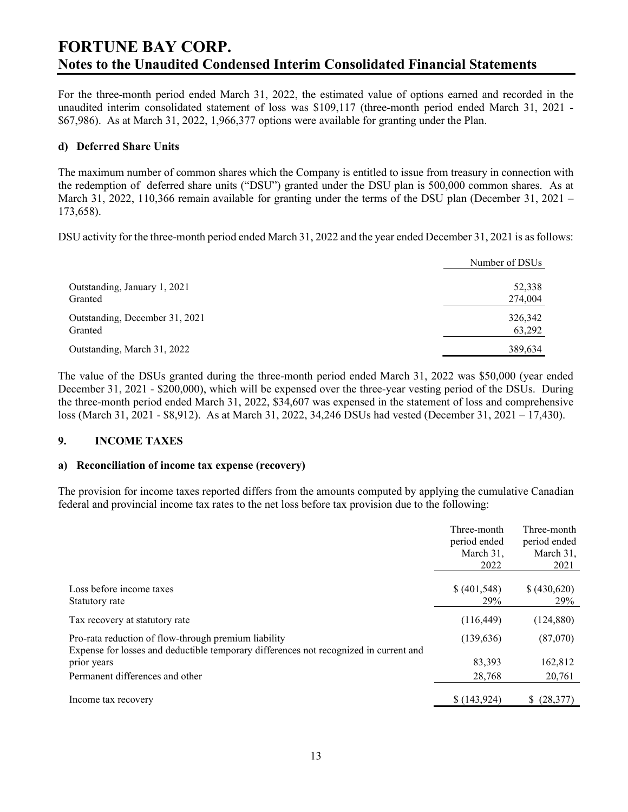For the three-month period ended March 31, 2022, the estimated value of options earned and recorded in the unaudited interim consolidated statement of loss was \$109,117 (three-month period ended March 31, 2021 - \$67,986). As at March 31, 2022, 1,966,377 options were available for granting under the Plan.

### d) Deferred Share Units

The maximum number of common shares which the Company is entitled to issue from treasury in connection with the redemption of deferred share units ("DSU") granted under the DSU plan is 500,000 common shares. As at March 31, 2022, 110,366 remain available for granting under the terms of the DSU plan (December 31, 2021 – 173,658).

DSU activity for the three-month period ended March 31, 2022 and the year ended December 31, 2021 is as follows:

|                                | Number of DSUs |
|--------------------------------|----------------|
| Outstanding, January 1, 2021   | 52,338         |
| Granted                        | 274,004        |
| Outstanding, December 31, 2021 | 326,342        |
| Granted                        | 63,292         |
| Outstanding, March 31, 2022    | 389,634        |

The value of the DSUs granted during the three-month period ended March 31, 2022 was \$50,000 (year ended December 31, 2021 - \$200,000), which will be expensed over the three-year vesting period of the DSUs. During the three-month period ended March 31, 2022, \$34,607 was expensed in the statement of loss and comprehensive loss (March 31, 2021 - \$8,912). As at March 31, 2022, 34,246 DSUs had vested (December 31, 2021 – 17,430).

#### 9. INCOME TAXES

#### a) Reconciliation of income tax expense (recovery)

The provision for income taxes reported differs from the amounts computed by applying the cumulative Canadian federal and provincial income tax rates to the net loss before tax provision due to the following:

|                                                                                                                                               | Three-month<br>period ended<br>March 31,<br>2022 | Three-month<br>period ended<br>March 31,<br>2021 |
|-----------------------------------------------------------------------------------------------------------------------------------------------|--------------------------------------------------|--------------------------------------------------|
| Loss before income taxes<br>Statutory rate                                                                                                    | \$ (401,548)<br>29%                              | \$(430,620)<br>29%                               |
| Tax recovery at statutory rate                                                                                                                | (116, 449)                                       | (124, 880)                                       |
| Pro-rata reduction of flow-through premium liability<br>Expense for losses and deductible temporary differences not recognized in current and | (139, 636)                                       | (87,070)                                         |
| prior years                                                                                                                                   | 83,393                                           | 162,812                                          |
| Permanent differences and other                                                                                                               | 28,768                                           | 20,761                                           |
| Income tax recovery                                                                                                                           | \$(143,924)                                      | (28, 377)                                        |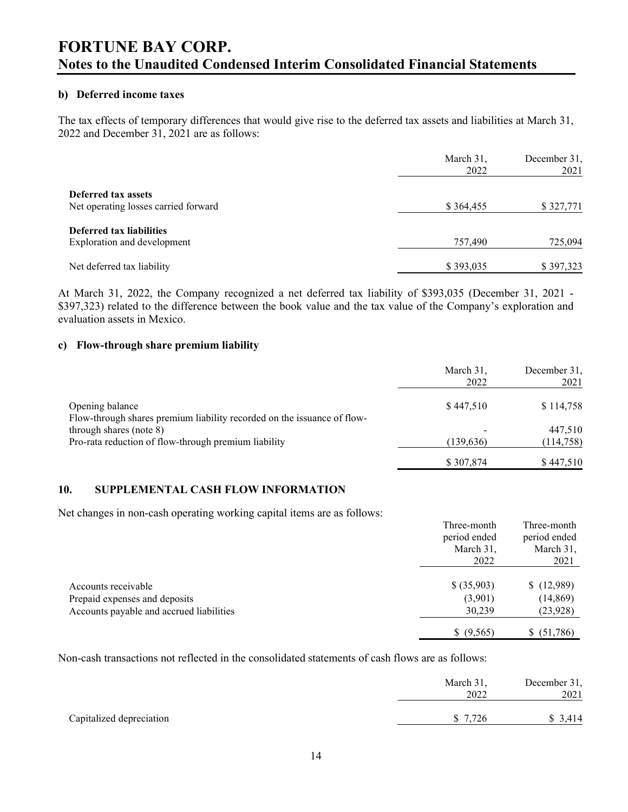#### b) Deferred income taxes

The tax effects of temporary differences that would give rise to the deferred tax assets and liabilities at March 31, 2022 and December 31, 2021 are as follows:

|                                                             | March 31,<br>2022 | December 31,<br>2021 |
|-------------------------------------------------------------|-------------------|----------------------|
| Deferred tax assets<br>Net operating losses carried forward | \$364,455         | \$327,771            |
| Deferred tax liabilities<br>Exploration and development     | 757,490           | 725,094              |
| Net deferred tax liability                                  | \$393,035         | \$397,323            |

At March 31, 2022, the Company recognized a net deferred tax liability of \$393,035 (December 31, 2021 - \$397,323) related to the difference between the book value and the tax value of the Company's exploration and evaluation assets in Mexico.

### c) Flow-through share premium liability

|                                                                                            | March 31,<br>2022 | December 31,<br>2021 |
|--------------------------------------------------------------------------------------------|-------------------|----------------------|
| Opening balance<br>Flow-through shares premium liability recorded on the issuance of flow- | \$447,510         | \$114,758            |
| through shares (note 8)                                                                    |                   | 447,510              |
| Pro-rata reduction of flow-through premium liability                                       | (139, 636)        | (114, 758)           |
|                                                                                            | \$307,874         | \$447,510            |

#### 10. SUPPLEMENTAL CASH FLOW INFORMATION

Net changes in non-cash operating working capital items are as follows:

|                                          | Three-month  | Three-month    |
|------------------------------------------|--------------|----------------|
|                                          | period ended | period ended   |
|                                          | March 31,    | March 31,      |
|                                          | 2022         | 2021           |
|                                          |              |                |
| Accounts receivable                      | \$ (35,903)  | (12,989)       |
| Prepaid expenses and deposits            | (3,901)      | (14, 869)      |
| Accounts payable and accrued liabilities | 30,239       | (23, 928)      |
|                                          | \$ (9,565)   | (51,786)<br>S. |

Non-cash transactions not reflected in the consolidated statements of cash flows are as follows:

|                          | March 31,<br>2022 | December 31,<br>2021 |
|--------------------------|-------------------|----------------------|
| Capitalized depreciation | \$ 7.726          | 3.414                |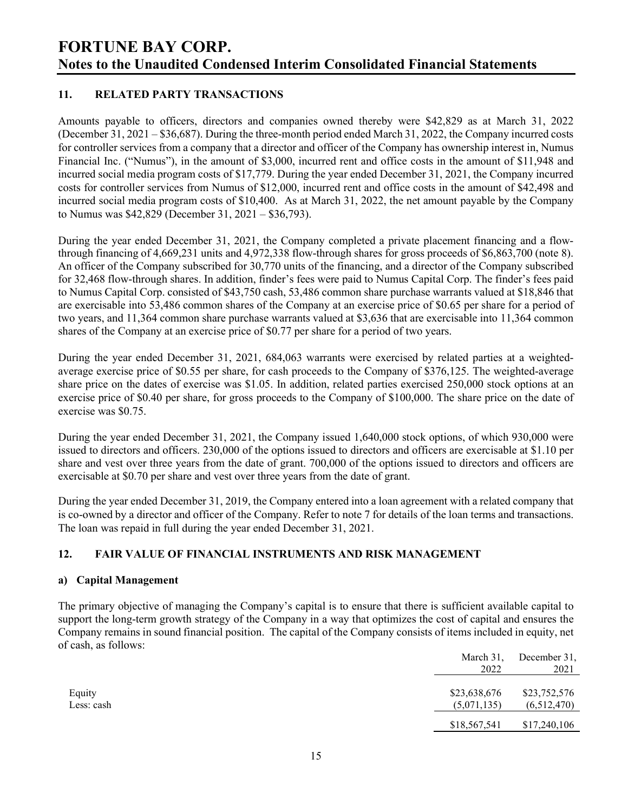## 11. RELATED PARTY TRANSACTIONS

Amounts payable to officers, directors and companies owned thereby were \$42,829 as at March 31, 2022 (December 31, 2021 – \$36,687). During the three-month period ended March 31, 2022, the Company incurred costs for controller services from a company that a director and officer of the Company has ownership interest in, Numus Financial Inc. ("Numus"), in the amount of \$3,000, incurred rent and office costs in the amount of \$11,948 and incurred social media program costs of \$17,779. During the year ended December 31, 2021, the Company incurred costs for controller services from Numus of \$12,000, incurred rent and office costs in the amount of \$42,498 and incurred social media program costs of \$10,400. As at March 31, 2022, the net amount payable by the Company to Numus was \$42,829 (December 31, 2021 – \$36,793).

During the year ended December 31, 2021, the Company completed a private placement financing and a flowthrough financing of 4,669,231 units and 4,972,338 flow-through shares for gross proceeds of \$6,863,700 (note 8). An officer of the Company subscribed for 30,770 units of the financing, and a director of the Company subscribed for 32,468 flow-through shares. In addition, finder's fees were paid to Numus Capital Corp. The finder's fees paid to Numus Capital Corp. consisted of \$43,750 cash, 53,486 common share purchase warrants valued at \$18,846 that are exercisable into 53,486 common shares of the Company at an exercise price of \$0.65 per share for a period of two years, and 11,364 common share purchase warrants valued at \$3,636 that are exercisable into 11,364 common shares of the Company at an exercise price of \$0.77 per share for a period of two years.

During the year ended December 31, 2021, 684,063 warrants were exercised by related parties at a weightedaverage exercise price of \$0.55 per share, for cash proceeds to the Company of \$376,125. The weighted-average share price on the dates of exercise was \$1.05. In addition, related parties exercised 250,000 stock options at an exercise price of \$0.40 per share, for gross proceeds to the Company of \$100,000. The share price on the date of exercise was \$0.75.

During the year ended December 31, 2021, the Company issued 1,640,000 stock options, of which 930,000 were issued to directors and officers. 230,000 of the options issued to directors and officers are exercisable at \$1.10 per share and vest over three years from the date of grant. 700,000 of the options issued to directors and officers are exercisable at \$0.70 per share and vest over three years from the date of grant.

During the year ended December 31, 2019, the Company entered into a loan agreement with a related company that is co-owned by a director and officer of the Company. Refer to note 7 for details of the loan terms and transactions. The loan was repaid in full during the year ended December 31, 2021.

## 12. FAIR VALUE OF FINANCIAL INSTRUMENTS AND RISK MANAGEMENT

#### a) Capital Management

The primary objective of managing the Company's capital is to ensure that there is sufficient available capital to support the long-term growth strategy of the Company in a way that optimizes the cost of capital and ensures the Company remains in sound financial position. The capital of the Company consists of items included in equity, net of cash, as follows:

|            |              | March 31, December 31, |
|------------|--------------|------------------------|
|            | 2022         | 2021                   |
|            |              |                        |
| Equity     | \$23,638,676 | \$23,752,576           |
| Less: cash | (5,071,135)  | (6,512,470)            |
|            | \$18,567,541 | \$17,240,106           |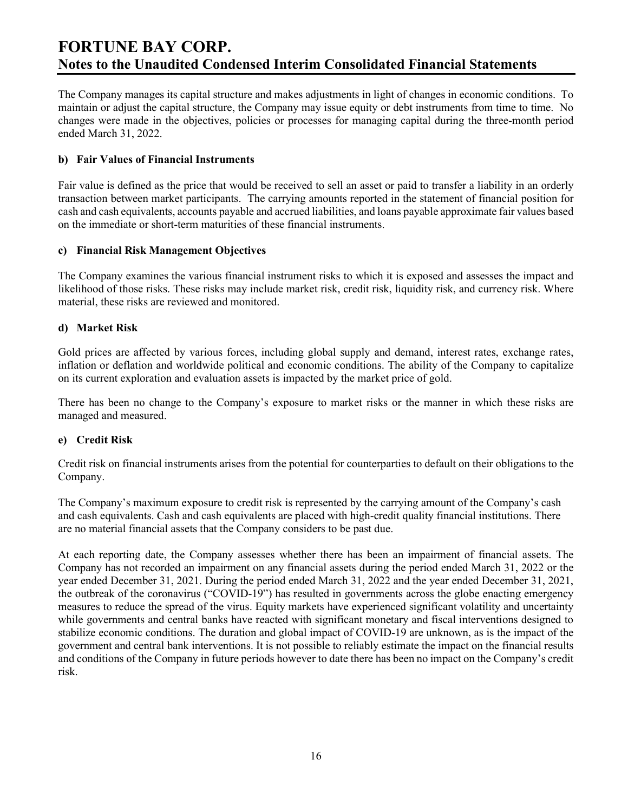The Company manages its capital structure and makes adjustments in light of changes in economic conditions. To maintain or adjust the capital structure, the Company may issue equity or debt instruments from time to time. No changes were made in the objectives, policies or processes for managing capital during the three-month period ended March 31, 2022.

### b) Fair Values of Financial Instruments

Fair value is defined as the price that would be received to sell an asset or paid to transfer a liability in an orderly transaction between market participants. The carrying amounts reported in the statement of financial position for cash and cash equivalents, accounts payable and accrued liabilities, and loans payable approximate fair values based on the immediate or short-term maturities of these financial instruments.

### c) Financial Risk Management Objectives

The Company examines the various financial instrument risks to which it is exposed and assesses the impact and likelihood of those risks. These risks may include market risk, credit risk, liquidity risk, and currency risk. Where material, these risks are reviewed and monitored.

### d) Market Risk

Gold prices are affected by various forces, including global supply and demand, interest rates, exchange rates, inflation or deflation and worldwide political and economic conditions. The ability of the Company to capitalize on its current exploration and evaluation assets is impacted by the market price of gold.

There has been no change to the Company's exposure to market risks or the manner in which these risks are managed and measured.

## e) Credit Risk

Credit risk on financial instruments arises from the potential for counterparties to default on their obligations to the Company.

The Company's maximum exposure to credit risk is represented by the carrying amount of the Company's cash and cash equivalents. Cash and cash equivalents are placed with high-credit quality financial institutions. There are no material financial assets that the Company considers to be past due.

At each reporting date, the Company assesses whether there has been an impairment of financial assets. The Company has not recorded an impairment on any financial assets during the period ended March 31, 2022 or the year ended December 31, 2021. During the period ended March 31, 2022 and the year ended December 31, 2021, the outbreak of the coronavirus ("COVID-19") has resulted in governments across the globe enacting emergency measures to reduce the spread of the virus. Equity markets have experienced significant volatility and uncertainty while governments and central banks have reacted with significant monetary and fiscal interventions designed to stabilize economic conditions. The duration and global impact of COVID-19 are unknown, as is the impact of the government and central bank interventions. It is not possible to reliably estimate the impact on the financial results and conditions of the Company in future periods however to date there has been no impact on the Company's credit risk.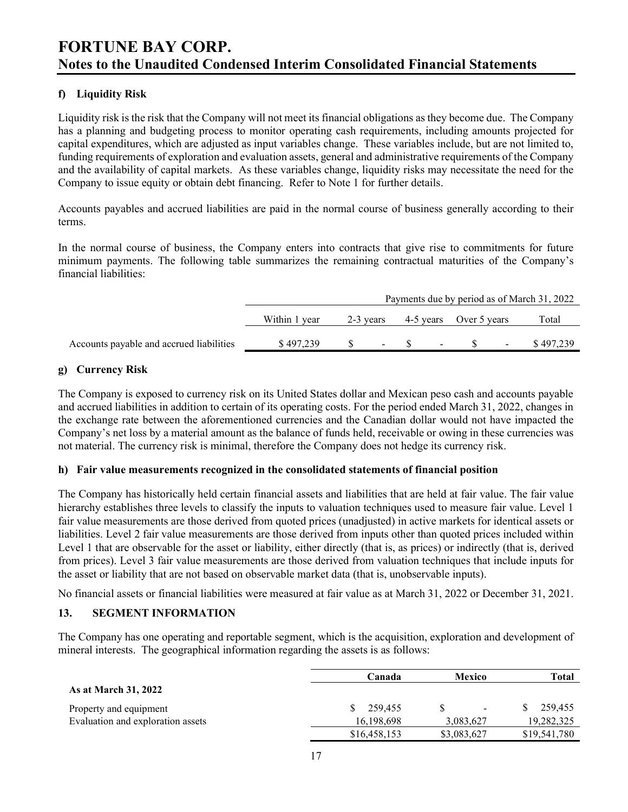# f) Liquidity Risk

Liquidity risk is the risk that the Company will not meet its financial obligations as they become due. The Company has a planning and budgeting process to monitor operating cash requirements, including amounts projected for capital expenditures, which are adjusted as input variables change. These variables include, but are not limited to, funding requirements of exploration and evaluation assets, general and administrative requirements of the Company and the availability of capital markets. As these variables change, liquidity risks may necessitate the need for the Company to issue equity or obtain debt financing. Refer to Note 1 for further details.

Accounts payables and accrued liabilities are paid in the normal course of business generally according to their terms.

In the normal course of business, the Company enters into contracts that give rise to commitments for future minimum payments. The following table summarizes the remaining contractual maturities of the Company's financial liabilities:

|                                          | Payments due by period as of March 31, 2022 |           |        |  |        |                        |                |           |
|------------------------------------------|---------------------------------------------|-----------|--------|--|--------|------------------------|----------------|-----------|
|                                          | Within 1 year                               | 2-3 years |        |  |        | 4-5 years Over 5 years |                | Total     |
| Accounts payable and accrued liabilities | \$497.239                                   |           | $\sim$ |  | $\sim$ |                        | $\blacksquare$ | \$497.239 |

### g) Currency Risk

The Company is exposed to currency risk on its United States dollar and Mexican peso cash and accounts payable and accrued liabilities in addition to certain of its operating costs. For the period ended March 31, 2022, changes in the exchange rate between the aforementioned currencies and the Canadian dollar would not have impacted the Company's net loss by a material amount as the balance of funds held, receivable or owing in these currencies was not material. The currency risk is minimal, therefore the Company does not hedge its currency risk.

#### h) Fair value measurements recognized in the consolidated statements of financial position

The Company has historically held certain financial assets and liabilities that are held at fair value. The fair value hierarchy establishes three levels to classify the inputs to valuation techniques used to measure fair value. Level 1 fair value measurements are those derived from quoted prices (unadjusted) in active markets for identical assets or liabilities. Level 2 fair value measurements are those derived from inputs other than quoted prices included within Level 1 that are observable for the asset or liability, either directly (that is, as prices) or indirectly (that is, derived from prices). Level 3 fair value measurements are those derived from valuation techniques that include inputs for the asset or liability that are not based on observable market data (that is, unobservable inputs).

No financial assets or financial liabilities were measured at fair value as at March 31, 2022 or December 31, 2021.

#### 13. SEGMENT INFORMATION

The Company has one operating and reportable segment, which is the acquisition, exploration and development of mineral interests. The geographical information regarding the assets is as follows:

|                                   | Canada        | Mexico      | Total        |  |
|-----------------------------------|---------------|-------------|--------------|--|
| <b>As at March 31, 2022</b>       |               |             |              |  |
| Property and equipment            | 259.455<br>S. | -           | 259.455      |  |
| Evaluation and exploration assets | 16,198,698    | 3,083,627   | 19,282,325   |  |
|                                   | \$16,458,153  | \$3,083,627 | \$19,541,780 |  |